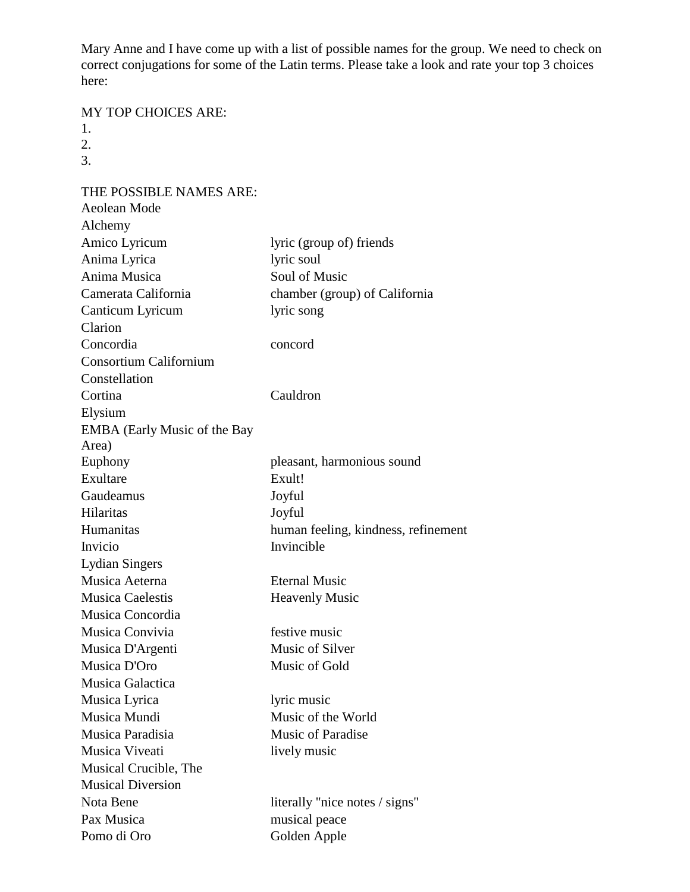Mary Anne and I have come up with a list of possible names for the group. We need to check on correct conjugations for some of the Latin terms. Please take a look and rate your top 3 choices here:

## MY TOP CHOICES ARE:

- 1.
- 2.
- 3.

THE POSSIBLE NAMES ARE: Aeolean Mode Alchemy Amico Lyricum lyric (group of) friends Anima Lyrica lyric soul Anima Musica Soul of Music Camerata California chamber (group) of California Canticum Lyricum lyric song Clarion Concordia concord Consortium Californium Constellation Cortina Cauldron Elysium EMBA (Early Music of the Bay Area) Euphony pleasant, harmonious sound Exultare Exult! Gaudeamus Joyful Hilaritas Joyful Humanitas human feeling, kindness, refinement Invicio Invincible Lydian Singers Musica Aeterna Eternal Music Musica Caelestis **Heavenly Music** Musica Concordia Musica Convivia festive music Musica D'Argenti Music of Silver Musica D'Oro Music of Gold Musica Galactica Musica Lyrica lyric music Musica Mundi Music of the World Musica Paradisia Music of Paradise Musica Viveati lively music Musical Crucible, The Musical Diversion Nota Bene literally "nice notes / signs" Pax Musica musical peace

Pomo di Oro Golden Apple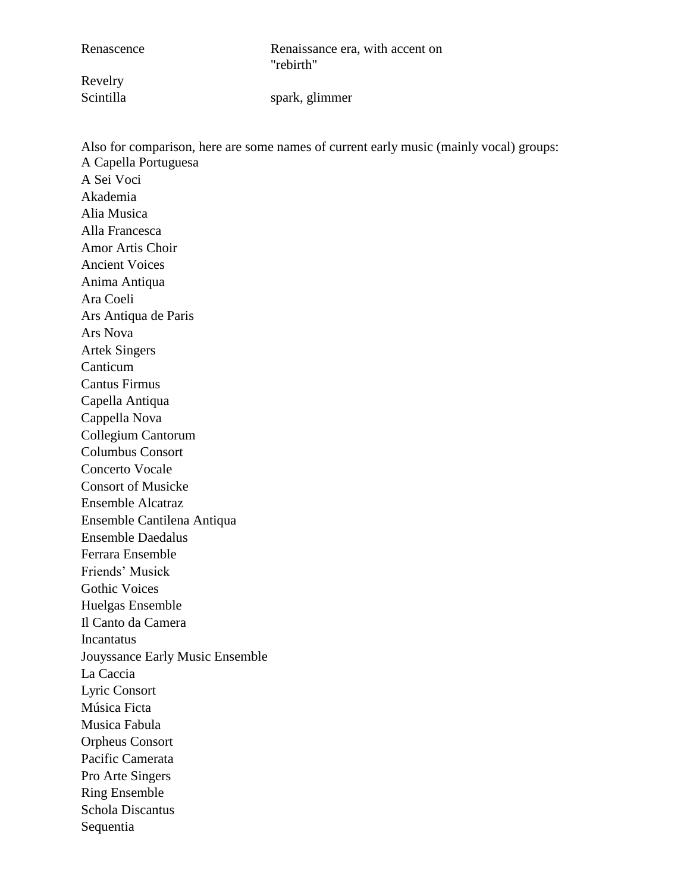Renascence Renaissance era, with accent on "rebirth"

Revelry

Scintilla spark, glimmer

Also for comparison, here are some names of current early music (mainly vocal) groups: A Capella Portuguesa A Sei Voci Akademia Alia Musica Alla Francesca Amor Artis Choir Ancient Voices Anima Antiqua Ara Coeli Ars Antiqua de Paris Ars Nova Artek Singers Canticum Cantus Firmus Capella Antiqua Cappella Nova Collegium Cantorum Columbus Consort Concerto Vocale Consort of Musicke Ensemble Alcatraz Ensemble Cantilena Antiqua Ensemble Daedalus Ferrara Ensemble Friends' Musick Gothic Voices Huelgas Ensemble Il Canto da Camera Incantatus Jouyssance Early Music Ensemble La Caccia Lyric Consort Música Ficta Musica Fabula Orpheus Consort Pacific Camerata Pro Arte Singers Ring Ensemble Schola Discantus Sequentia